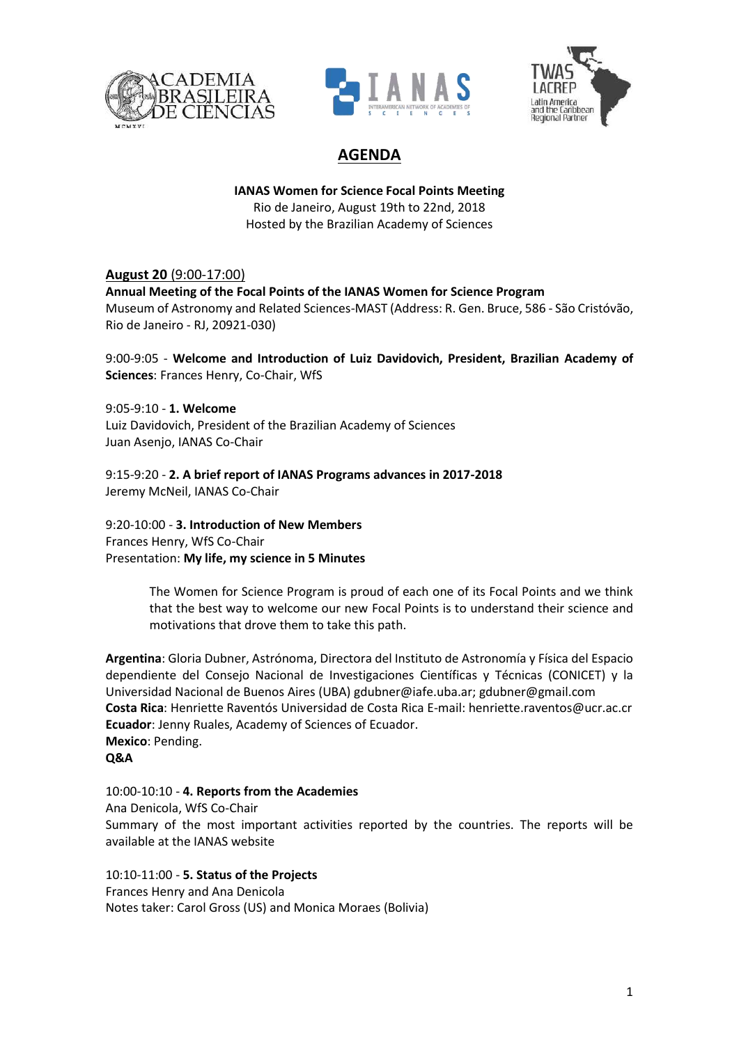





# **AGENDA**

### **IANAS Women for Science Focal Points Meeting** Rio de Janeiro, August 19th to 22nd, 2018 Hosted by the Brazilian Academy of Sciences

## **August 20** (9:00-17:00)

### **Annual Meeting of the Focal Points of the IANAS Women for Science Program**

Museum of Astronomy and Related Sciences-MAST (Address: R. Gen. Bruce, 586 - São Cristóvão, Rio de Janeiro - RJ, 20921-030)

9:00-9:05 - **Welcome and Introduction of Luiz Davidovich, President, Brazilian Academy of Sciences**: Frances Henry, Co-Chair, WfS

9:05-9:10 - **1. Welcome** Luiz Davidovich, President of the Brazilian Academy of Sciences Juan Asenjo, IANAS Co-Chair

9:15-9:20 - **2. A brief report of IANAS Programs advances in 2017-2018** Jeremy McNeil, IANAS Co-Chair

9:20-10:00 - **3. Introduction of New Members** Frances Henry, WfS Co-Chair Presentation: **My life, my science in 5 Minutes**

> The Women for Science Program is proud of each one of its Focal Points and we think that the best way to welcome our new Focal Points is to understand their science and motivations that drove them to take this path.

**Argentina**: Gloria Dubner, Astrónoma, Directora del Instituto de Astronomía y Física del Espacio dependiente del Consejo Nacional de Investigaciones Científicas y Técnicas (CONICET) y la Universidad Nacional de Buenos Aires (UBA) gdubner@iafe.uba.ar; gdubner@gmail.com **Costa Rica**: Henriette Raventós Universidad de Costa Rica E-mail: henriette.raventos@ucr.ac.cr **Ecuador**: Jenny Ruales, Academy of Sciences of Ecuador. **Mexico**: Pending. **Q&A** 

#### 10:00-10:10 - **4. Reports from the Academies**

Ana Denicola, WfS Co-Chair Summary of the most important activities reported by the countries. The reports will be available at the IANAS website

10:10-11:00 - **5. Status of the Projects** Frances Henry and Ana Denicola Notes taker: Carol Gross (US) and Monica Moraes (Bolivia)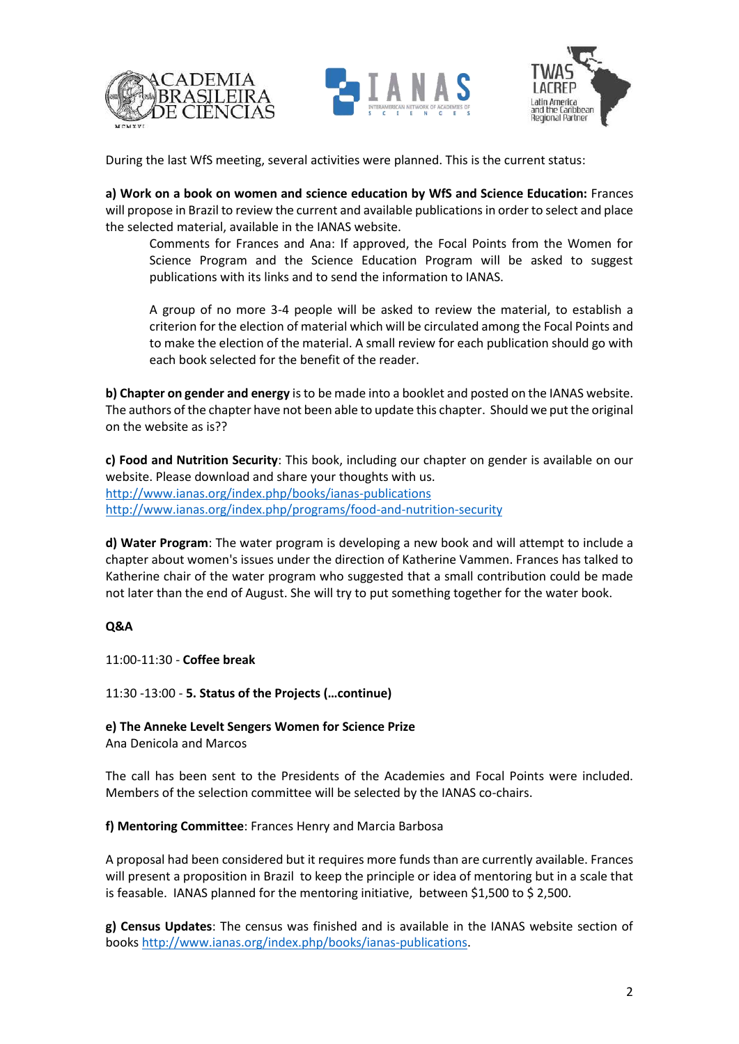





During the last WfS meeting, several activities were planned. This is the current status:

**a) Work on a book on women and science education by WfS and Science Education:** Frances will propose in Brazil to review the current and available publications in order to select and place the selected material, available in the IANAS website.

Comments for Frances and Ana: If approved, the Focal Points from the Women for Science Program and the Science Education Program will be asked to suggest publications with its links and to send the information to IANAS.

A group of no more 3-4 people will be asked to review the material, to establish a criterion for the election of material which will be circulated among the Focal Points and to make the election of the material. A small review for each publication should go with each book selected for the benefit of the reader.

**b) Chapter on gender and energy** is to be made into a booklet and posted on the IANAS website. The authors of the chapter have not been able to update this chapter. Should we put the original on the website as is??

**c) Food and Nutrition Security**: This book, including our chapter on gender is available on our website. Please download and share your thoughts with us. <http://www.ianas.org/index.php/books/ianas-publications> <http://www.ianas.org/index.php/programs/food-and-nutrition-security>

**d) Water Program**: The water program is developing a new book and will attempt to include a chapter about women's issues under the direction of Katherine Vammen. Frances has talked to Katherine chair of the water program who suggested that a small contribution could be made not later than the end of August. She will try to put something together for the water book.

## **Q&A**

11:00-11:30 - **Coffee break**

11:30 -13:00 - **5. Status of the Projects (…continue)**

**e) The Anneke Levelt Sengers Women for Science Prize**

Ana Denicola and Marcos

The call has been sent to the Presidents of the Academies and Focal Points were included. Members of the selection committee will be selected by the IANAS co-chairs.

## **f) Mentoring Committee**: Frances Henry and Marcia Barbosa

A proposal had been considered but it requires more funds than are currently available. Frances will present a proposition in Brazil to keep the principle or idea of mentoring but in a scale that is feasable. IANAS planned for the mentoring initiative, between \$1,500 to \$ 2,500.

**g) Census Updates**: The census was finished and is available in the IANAS website section of books [http://www.ianas.org/index.php/books/ianas-publications.](http://www.ianas.org/index.php/books/ianas-publications)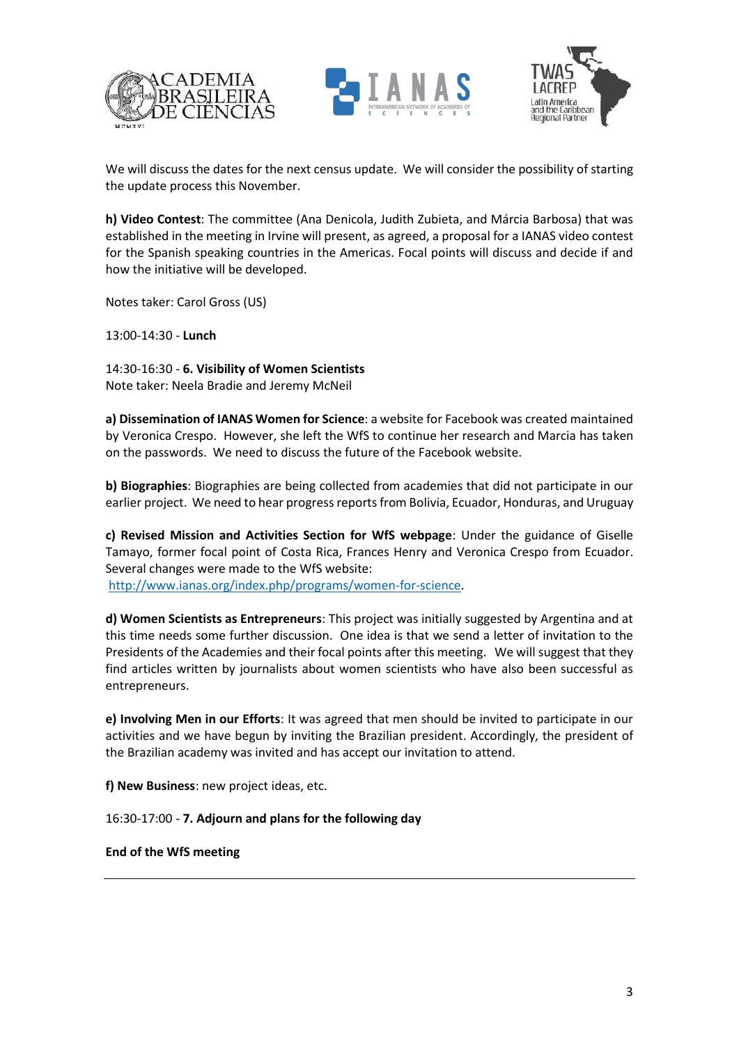





We will discuss the dates for the next census update. We will consider the possibility of starting the update process this November.

**h) Video Contest**: The committee (Ana Denicola, Judith Zubieta, and Márcia Barbosa) that was established in the meeting in Irvine will present, as agreed, a proposal for a IANAS video contest for the Spanish speaking countries in the Americas. Focal points will discuss and decide if and how the initiative will be developed.

Notes taker: Carol Gross (US)

13:00-14:30 - **Lunch**

14:30-16:30 - **6. Visibility of Women Scientists** Note taker: Neela Bradie and Jeremy McNeil

**a) Dissemination of IANAS Women for Science**: a website for Facebook was created maintained by Veronica Crespo. However, she left the WfS to continue her research and Marcia has taken on the passwords. We need to discuss the future of the Facebook website.

**b) Biographies**: Biographies are being collected from academies that did not participate in our earlier project. We need to hear progress reports from Bolivia, Ecuador, Honduras, and Uruguay

**c) Revised Mission and Activities Section for WfS webpage**: Under the guidance of Giselle Tamayo, former focal point of Costa Rica, Frances Henry and Veronica Crespo from Ecuador. Several changes were made to the WfS website: [http://www.ianas.org/index.php/programs/women-for-science.](http://www.ianas.org/index.php/programs/women-for-science)

**d) Women Scientists as Entrepreneurs**: This project was initially suggested by Argentina and at this time needs some further discussion. One idea is that we send a letter of invitation to the Presidents of the Academies and their focal points after this meeting. We will suggest that they find articles written by journalists about women scientists who have also been successful as entrepreneurs.

**e) Involving Men in our Efforts**: It was agreed that men should be invited to participate in our activities and we have begun by inviting the Brazilian president. Accordingly, the president of the Brazilian academy was invited and has accept our invitation to attend.

**f) New Business**: new project ideas, etc.

16:30-17:00 - **7. Adjourn and plans for the following day**

**End of the WfS meeting**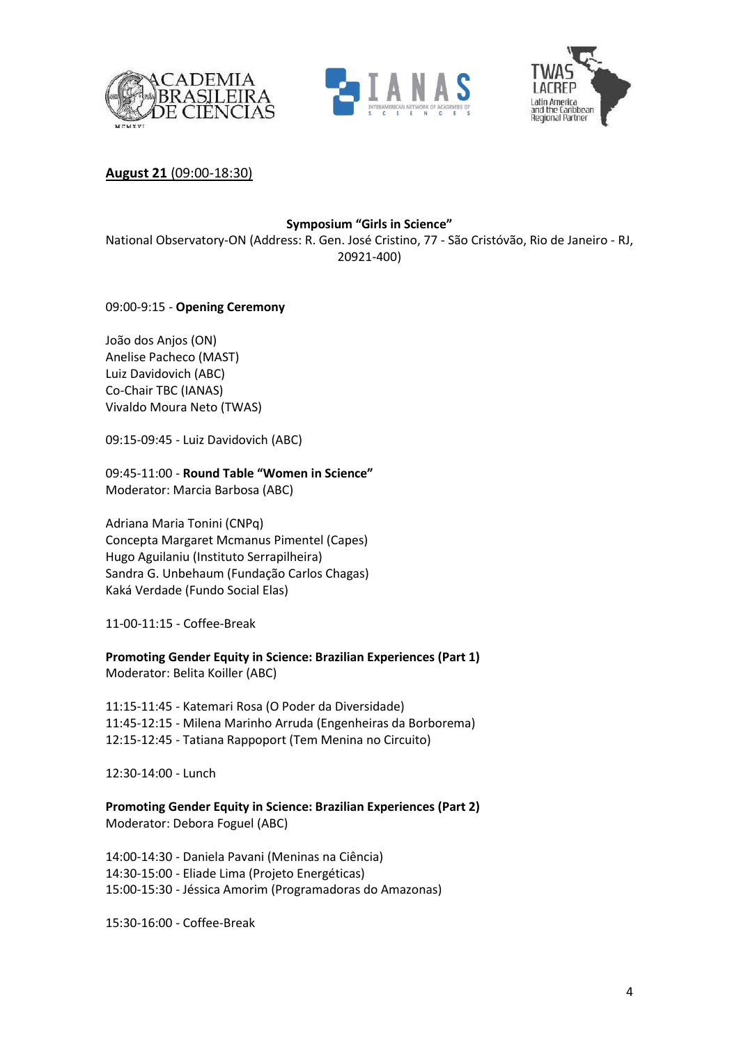





**August 21** (09:00-18:30)

## **Symposium "Girls in Science"**

National Observatory-ON (Address: R. Gen. José Cristino, 77 - São Cristóvão, Rio de Janeiro - RJ, 20921-400)

09:00-9:15 - **Opening Ceremony**

João dos Anjos (ON) Anelise Pacheco (MAST) Luiz Davidovich (ABC) Co-Chair TBC (IANAS) Vivaldo Moura Neto (TWAS)

09:15-09:45 - Luiz Davidovich (ABC)

09:45-11:00 - **Round Table "Women in Science"** Moderator: Marcia Barbosa (ABC)

Adriana Maria Tonini (CNPq) Concepta Margaret Mcmanus Pimentel (Capes) Hugo Aguilaniu (Instituto Serrapilheira) Sandra G. Unbehaum (Fundação Carlos Chagas) Kaká Verdade (Fundo Social Elas)

11-00-11:15 - Coffee-Break

**Promoting Gender Equity in Science: Brazilian Experiences (Part 1)** Moderator: Belita Koiller (ABC)

11:15-11:45 - Katemari Rosa (O Poder da Diversidade) 11:45-12:15 - Milena Marinho Arruda (Engenheiras da Borborema) 12:15-12:45 - Tatiana Rappoport (Tem Menina no Circuito)

12:30-14:00 - Lunch

**Promoting Gender Equity in Science: Brazilian Experiences (Part 2)** Moderator: Debora Foguel (ABC)

14:00-14:30 - Daniela Pavani (Meninas na Ciência) 14:30-15:00 - Eliade Lima (Projeto Energéticas) 15:00-15:30 - Jéssica Amorim (Programadoras do Amazonas)

15:30-16:00 - Coffee-Break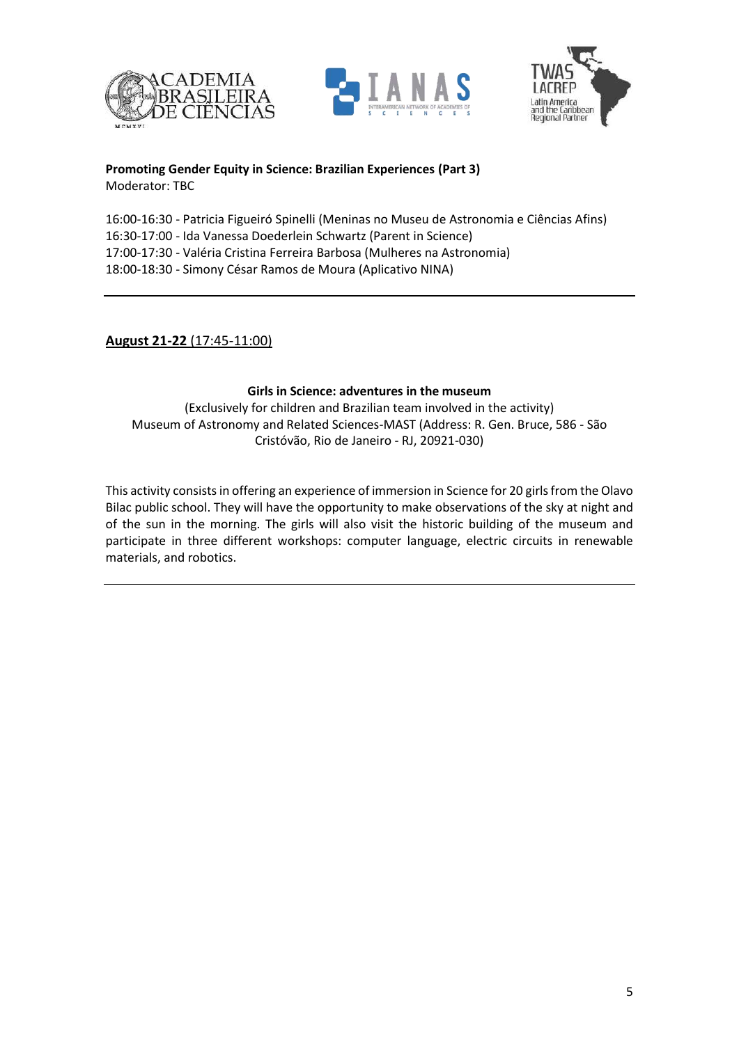





**Promoting Gender Equity in Science: Brazilian Experiences (Part 3)** Moderator: TBC

16:00-16:30 - Patricia Figueiró Spinelli (Meninas no Museu de Astronomia e Ciências Afins) 16:30-17:00 - Ida Vanessa Doederlein Schwartz (Parent in Science) 17:00-17:30 - Valéria Cristina Ferreira Barbosa (Mulheres na Astronomia) 18:00-18:30 - Simony César Ramos de Moura (Aplicativo NINA)

# **August 21-22** (17:45-11:00)

### **Girls in Science: adventures in the museum**

(Exclusively for children and Brazilian team involved in the activity) Museum of Astronomy and Related Sciences-MAST (Address: R. Gen. Bruce, 586 - São Cristóvão, Rio de Janeiro - RJ, 20921-030)

This activity consists in offering an experience of immersion in Science for 20 girls from the Olavo Bilac public school. They will have the opportunity to make observations of the sky at night and of the sun in the morning. The girls will also visit the historic building of the museum and participate in three different workshops: computer language, electric circuits in renewable materials, and robotics.